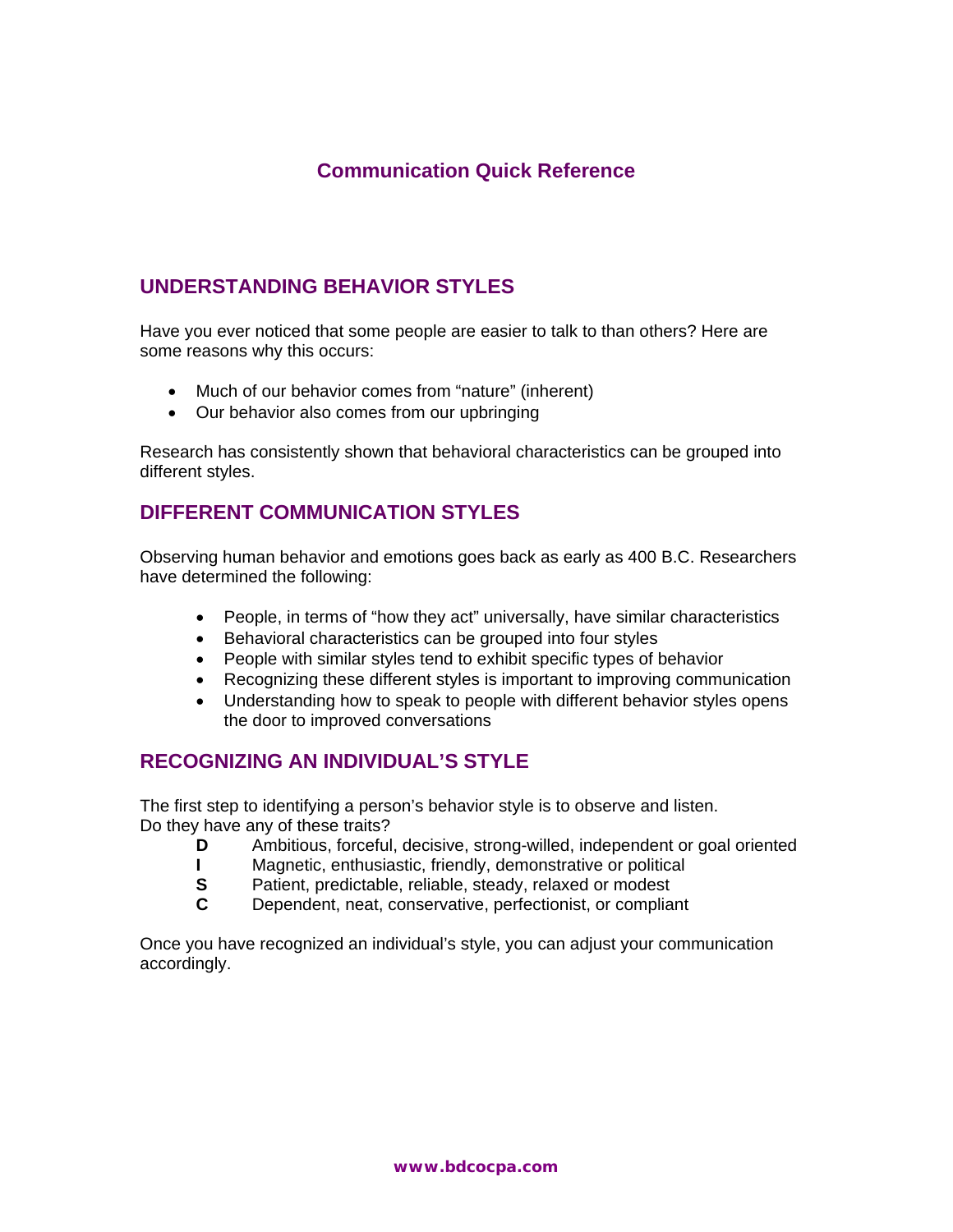# **Communication Quick Reference**

#### **UNDERSTANDING BEHAVIOR STYLES**

Have you ever noticed that some people are easier to talk to than others? Here are some reasons why this occurs:

- Much of our behavior comes from "nature" (inherent)
- Our behavior also comes from our upbringing

Research has consistently shown that behavioral characteristics can be grouped into different styles.

## **DIFFERENT COMMUNICATION STYLES**

Observing human behavior and emotions goes back as early as 400 B.C. Researchers have determined the following:

- People, in terms of "how they act" universally, have similar characteristics
- Behavioral characteristics can be grouped into four styles
- People with similar styles tend to exhibit specific types of behavior
- Recognizing these different styles is important to improving communication
- Understanding how to speak to people with different behavior styles opens the door to improved conversations

#### **RECOGNIZING AN INDIVIDUAL'S STYLE**

The first step to identifying a person's behavior style is to observe and listen. Do they have any of these traits?

- **D** Ambitious, forceful, decisive, strong-willed, independent or goal oriented
- **I** Magnetic, enthusiastic, friendly, demonstrative or political
- **S** Patient, predictable, reliable, steady, relaxed or modest
- **C** Dependent, neat, conservative, perfectionist, or compliant

Once you have recognized an individual's style, you can adjust your communication accordingly.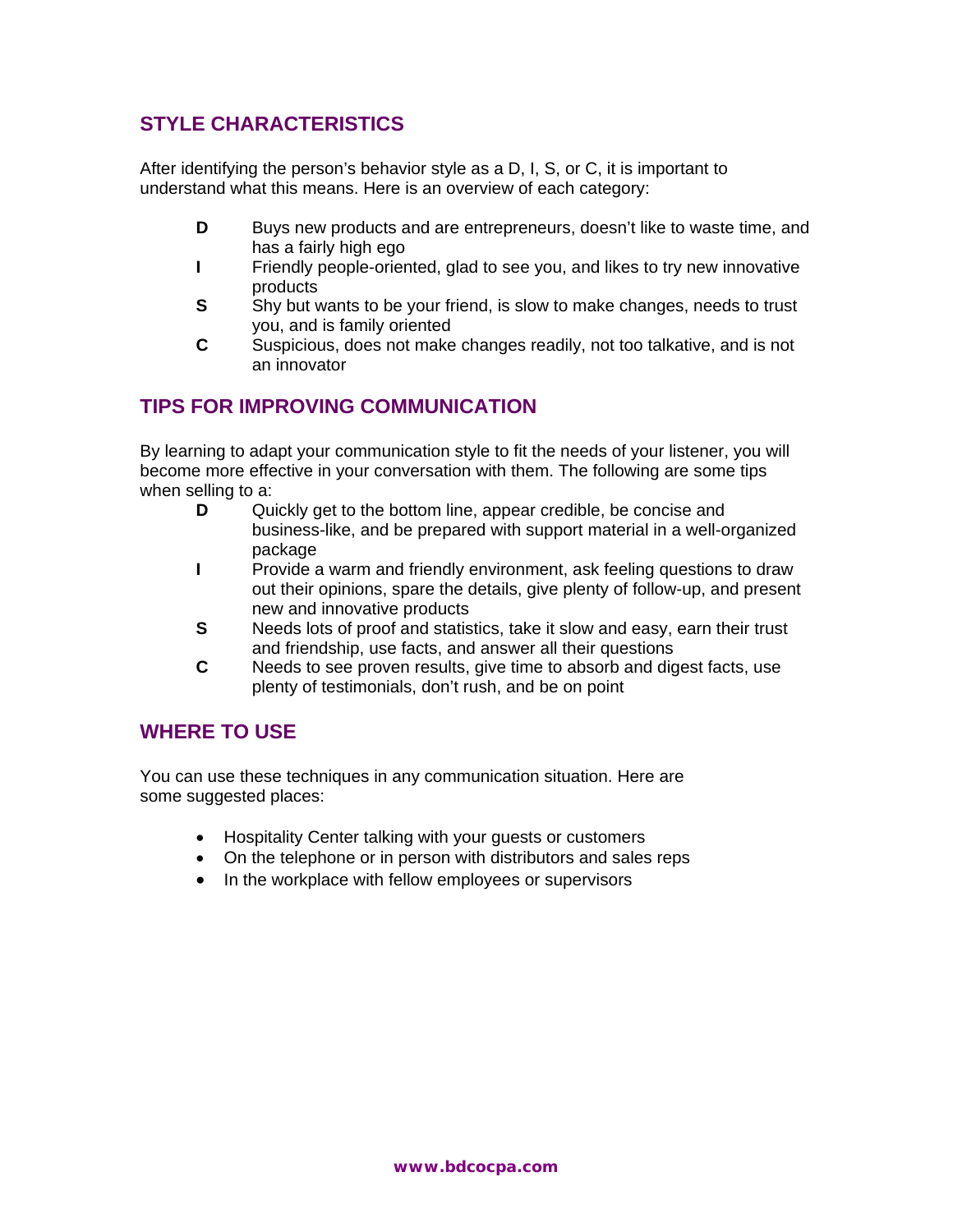# **STYLE CHARACTERISTICS**

After identifying the person's behavior style as a D, I, S, or C, it is important to understand what this means. Here is an overview of each category:

- **D** Buys new products and are entrepreneurs, doesn't like to waste time, and has a fairly high ego
- **I** Friendly people-oriented, glad to see you, and likes to try new innovative products
- **S** Shy but wants to be your friend, is slow to make changes, needs to trust you, and is family oriented
- **C** Suspicious, does not make changes readily, not too talkative, and is not an innovator

## **TIPS FOR IMPROVING COMMUNICATION**

By learning to adapt your communication style to fit the needs of your listener, you will become more effective in your conversation with them. The following are some tips when selling to a:

- **D** Quickly get to the bottom line, appear credible, be concise and business-like, and be prepared with support material in a well-organized package
- **I** Provide a warm and friendly environment, ask feeling questions to draw out their opinions, spare the details, give plenty of follow-up, and present new and innovative products
- **S** Needs lots of proof and statistics, take it slow and easy, earn their trust and friendship, use facts, and answer all their questions
- **C** Needs to see proven results, give time to absorb and digest facts, use plenty of testimonials, don't rush, and be on point

# **WHERE TO USE**

You can use these techniques in any communication situation. Here are some suggested places:

- Hospitality Center talking with your guests or customers
- On the telephone or in person with distributors and sales reps
- In the workplace with fellow employees or supervisors